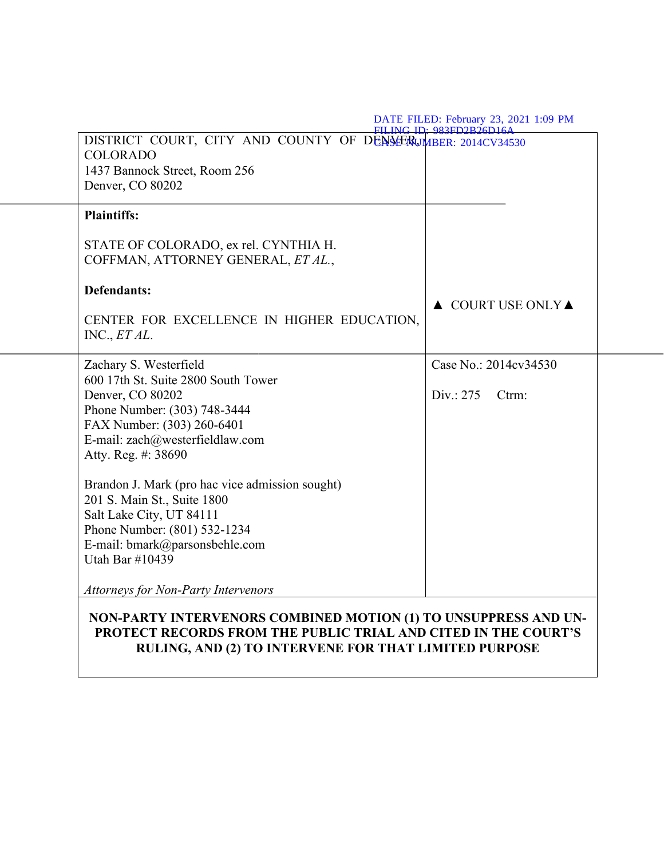| DISTRICT COURT, CITY AND COUNTY OF DENSERUMBER: 2014CV34530<br><b>COLORADO</b><br>1437 Bannock Street, Room 256<br>Denver, CO 80202 |                                        |
|-------------------------------------------------------------------------------------------------------------------------------------|----------------------------------------|
| <b>Plaintiffs:</b>                                                                                                                  |                                        |
| STATE OF COLORADO, ex rel. CYNTHIA H.<br>COFFMAN, ATTORNEY GENERAL, ET AL.,                                                         |                                        |
| <b>Defendants:</b>                                                                                                                  |                                        |
| CENTER FOR EXCELLENCE IN HIGHER EDUCATION,<br>INC., ET AL.                                                                          | $\triangle$ COURT USE ONLY $\triangle$ |
| Zachary S. Westerfield<br>600 17th St. Suite 2800 South Tower                                                                       | Case No.: 2014cv34530                  |
| Denver, CO 80202                                                                                                                    | Div.: 275<br>Ctrm:                     |
| Phone Number: (303) 748-3444<br>FAX Number: (303) 260-6401                                                                          |                                        |
| E-mail: zach@westerfieldlaw.com<br>Atty. Reg. #: 38690                                                                              |                                        |
| Brandon J. Mark (pro hac vice admission sought)                                                                                     |                                        |
| 201 S. Main St., Suite 1800<br>Salt Lake City, UT 84111                                                                             |                                        |
| Phone Number: (801) 532-1234                                                                                                        |                                        |
| E-mail: bmark@parsonsbehle.com<br>Utah Bar #10439                                                                                   |                                        |
| <b>Attorneys for Non-Party Intervenors</b>                                                                                          |                                        |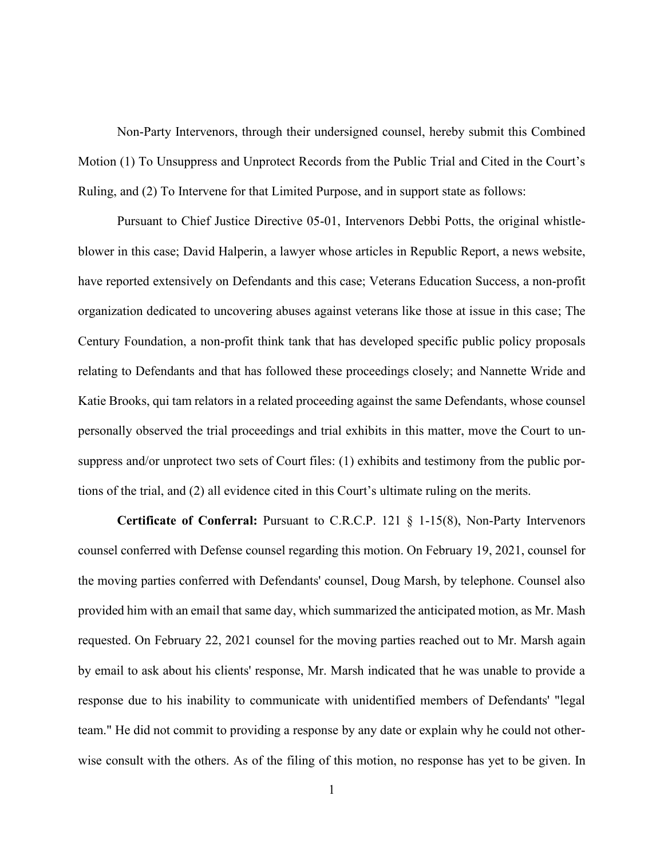Non-Party Intervenors, through their undersigned counsel, hereby submit this Combined Motion (1) To Unsuppress and Unprotect Records from the Public Trial and Cited in the Court's Ruling, and (2) To Intervene for that Limited Purpose, and in support state as follows:

Pursuant to Chief Justice Directive 05-01, Intervenors Debbi Potts, the original whistleblower in this case; David Halperin, a lawyer whose articles in Republic Report, a news website, have reported extensively on Defendants and this case; Veterans Education Success, a non-profit organization dedicated to uncovering abuses against veterans like those at issue in this case; The Century Foundation, a non-profit think tank that has developed specific public policy proposals relating to Defendants and that has followed these proceedings closely; and Nannette Wride and Katie Brooks, qui tam relators in a related proceeding against the same Defendants, whose counsel personally observed the trial proceedings and trial exhibits in this matter, move the Court to unsuppress and/or unprotect two sets of Court files: (1) exhibits and testimony from the public portions of the trial, and (2) all evidence cited in this Court's ultimate ruling on the merits.

**Certificate of Conferral:** Pursuant to C.R.C.P. 121 § 1-15(8), Non-Party Intervenors counsel conferred with Defense counsel regarding this motion. On February 19, 2021, counsel for the moving parties conferred with Defendants' counsel, Doug Marsh, by telephone. Counsel also provided him with an email that same day, which summarized the anticipated motion, as Mr. Mash requested. On February 22, 2021 counsel for the moving parties reached out to Mr. Marsh again by email to ask about his clients' response, Mr. Marsh indicated that he was unable to provide a response due to his inability to communicate with unidentified members of Defendants' "legal team." He did not commit to providing a response by any date or explain why he could not otherwise consult with the others. As of the filing of this motion, no response has yet to be given. In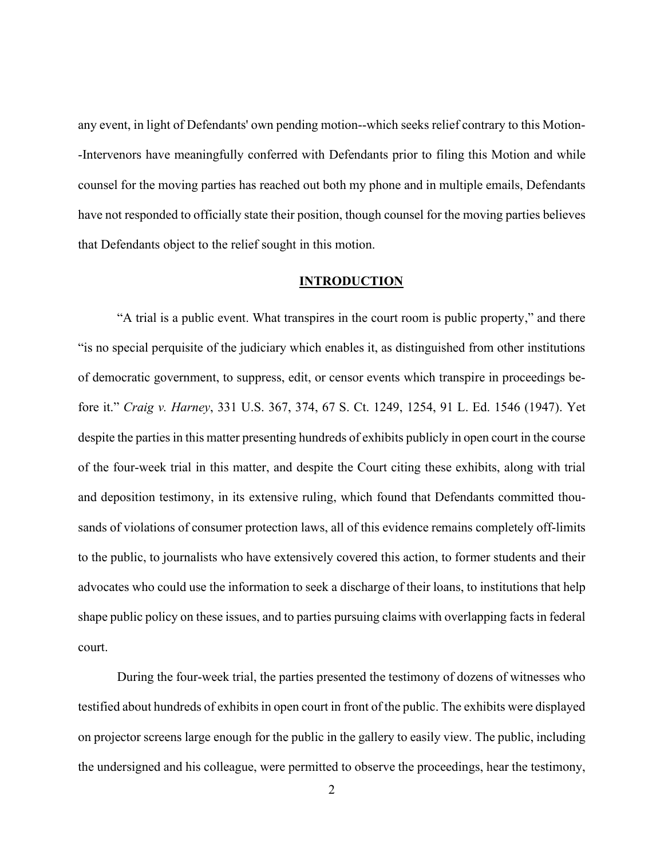any event, in light of Defendants' own pending motion--which seeks relief contrary to this Motion- -Intervenors have meaningfully conferred with Defendants prior to filing this Motion and while counsel for the moving parties has reached out both my phone and in multiple emails, Defendants have not responded to officially state their position, though counsel for the moving parties believes that Defendants object to the relief sought in this motion.

### **INTRODUCTION**

"A trial is a public event. What transpires in the court room is public property," and there "is no special perquisite of the judiciary which enables it, as distinguished from other institutions of democratic government, to suppress, edit, or censor events which transpire in proceedings before it." *Craig v. Harney*, 331 U.S. 367, 374, 67 S. Ct. 1249, 1254, 91 L. Ed. 1546 (1947). Yet despite the parties in this matter presenting hundreds of exhibits publicly in open court in the course of the four-week trial in this matter, and despite the Court citing these exhibits, along with trial and deposition testimony, in its extensive ruling, which found that Defendants committed thousands of violations of consumer protection laws, all of this evidence remains completely off-limits to the public, to journalists who have extensively covered this action, to former students and their advocates who could use the information to seek a discharge of their loans, to institutions that help shape public policy on these issues, and to parties pursuing claims with overlapping facts in federal court.

During the four-week trial, the parties presented the testimony of dozens of witnesses who testified about hundreds of exhibits in open court in front of the public. The exhibits were displayed on projector screens large enough for the public in the gallery to easily view. The public, including the undersigned and his colleague, were permitted to observe the proceedings, hear the testimony,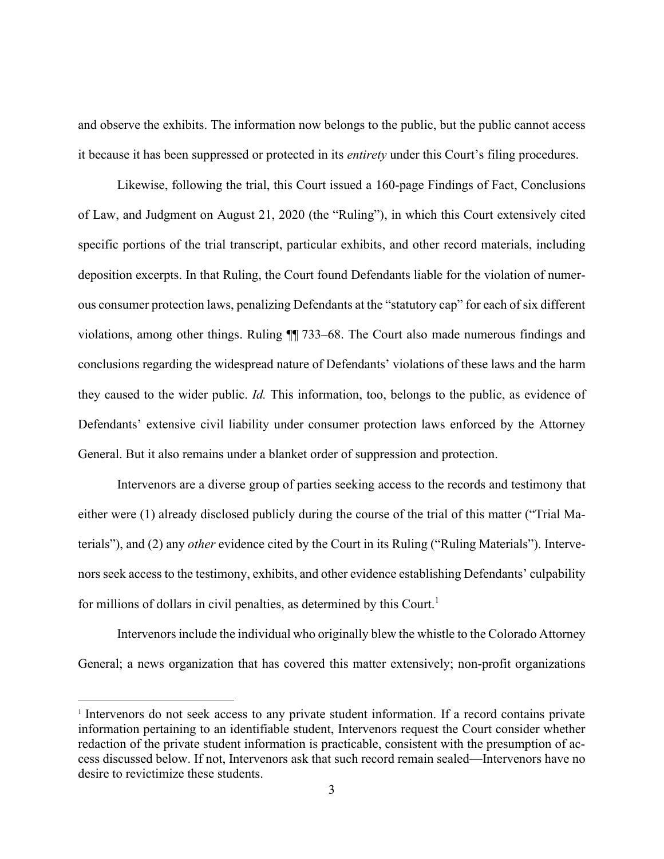and observe the exhibits. The information now belongs to the public, but the public cannot access it because it has been suppressed or protected in its *entirety* under this Court's filing procedures.

Likewise, following the trial, this Court issued a 160-page Findings of Fact, Conclusions of Law, and Judgment on August 21, 2020 (the "Ruling"), in which this Court extensively cited specific portions of the trial transcript, particular exhibits, and other record materials, including deposition excerpts. In that Ruling, the Court found Defendants liable for the violation of numerous consumer protection laws, penalizing Defendants at the "statutory cap" for each of six different violations, among other things. Ruling ¶¶ 733–68. The Court also made numerous findings and conclusions regarding the widespread nature of Defendants' violations of these laws and the harm they caused to the wider public. *Id.* This information, too, belongs to the public, as evidence of Defendants' extensive civil liability under consumer protection laws enforced by the Attorney General. But it also remains under a blanket order of suppression and protection.

Intervenors are a diverse group of parties seeking access to the records and testimony that either were (1) already disclosed publicly during the course of the trial of this matter ("Trial Materials"), and (2) any *other* evidence cited by the Court in its Ruling ("Ruling Materials"). Intervenors seek access to the testimony, exhibits, and other evidence establishing Defendants' culpability for millions of dollars in civil penalties, as determined by this Court.<sup>1</sup>

Intervenors include the individual who originally blew the whistle to the Colorado Attorney General; a news organization that has covered this matter extensively; non-profit organizations

<sup>&</sup>lt;sup>1</sup> Intervenors do not seek access to any private student information. If a record contains private information pertaining to an identifiable student, Intervenors request the Court consider whether redaction of the private student information is practicable, consistent with the presumption of access discussed below. If not, Intervenors ask that such record remain sealed—Intervenors have no desire to revictimize these students.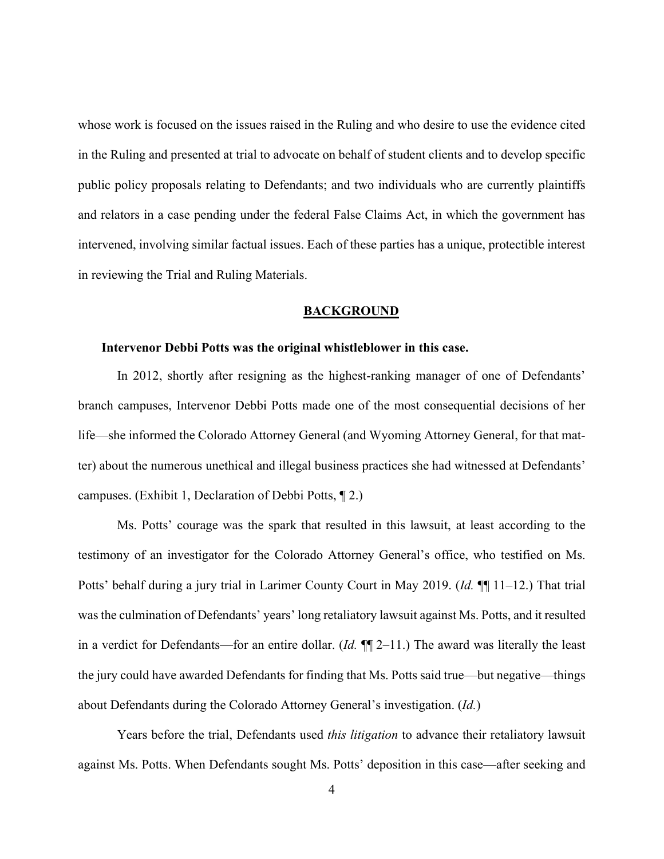whose work is focused on the issues raised in the Ruling and who desire to use the evidence cited in the Ruling and presented at trial to advocate on behalf of student clients and to develop specific public policy proposals relating to Defendants; and two individuals who are currently plaintiffs and relators in a case pending under the federal False Claims Act, in which the government has intervened, involving similar factual issues. Each of these parties has a unique, protectible interest in reviewing the Trial and Ruling Materials.

#### **BACKGROUND**

#### **Intervenor Debbi Potts was the original whistleblower in this case.**

In 2012, shortly after resigning as the highest-ranking manager of one of Defendants' branch campuses, Intervenor Debbi Potts made one of the most consequential decisions of her life—she informed the Colorado Attorney General (and Wyoming Attorney General, for that matter) about the numerous unethical and illegal business practices she had witnessed at Defendants' campuses. (Exhibit 1, Declaration of Debbi Potts, ¶ 2.)

Ms. Potts' courage was the spark that resulted in this lawsuit, at least according to the testimony of an investigator for the Colorado Attorney General's office, who testified on Ms. Potts' behalf during a jury trial in Larimer County Court in May 2019. (*Id.* ¶¶ 11–12.) That trial was the culmination of Defendants' years' long retaliatory lawsuit against Ms. Potts, and it resulted in a verdict for Defendants—for an entire dollar. (*Id.* ¶¶ 2–11.) The award was literally the least the jury could have awarded Defendants for finding that Ms. Potts said true—but negative—things about Defendants during the Colorado Attorney General's investigation. (*Id.*)

Years before the trial, Defendants used *this litigation* to advance their retaliatory lawsuit against Ms. Potts. When Defendants sought Ms. Potts' deposition in this case—after seeking and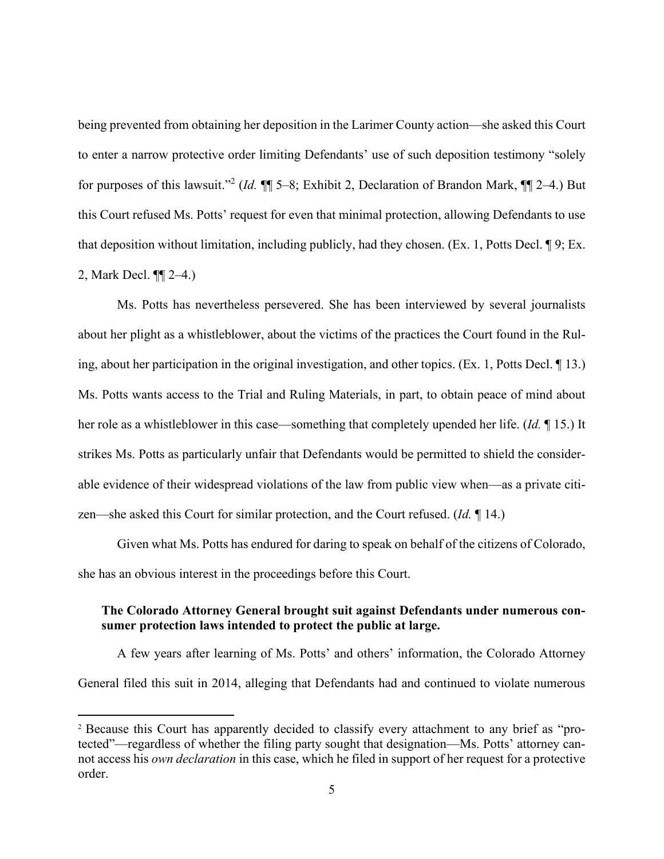being prevented from obtaining her deposition in the Larimer County action—she asked this Court to enter a narrow protective order limiting Defendants' use of such deposition testimony "solely for purposes of this lawsuit."<sup>2</sup> (*Id.* ¶¶ 5–8; Exhibit 2, Declaration of Brandon Mark, ¶¶ 2–4.) But this Court refused Ms. Potts' request for even that minimal protection, allowing Defendants to use that deposition without limitation, including publicly, had they chosen. (Ex. 1, Potts Decl. ¶ 9; Ex. 2, Mark Decl. ¶¶ 2–4.)

Ms. Potts has nevertheless persevered. She has been interviewed by several journalists about her plight as a whistleblower, about the victims of the practices the Court found in the Ruling, about her participation in the original investigation, and other topics. (Ex. 1, Potts Decl. ¶ 13.) Ms. Potts wants access to the Trial and Ruling Materials, in part, to obtain peace of mind about her role as a whistleblower in this case—something that completely upended her life. (*Id.* ¶ 15.) It strikes Ms. Potts as particularly unfair that Defendants would be permitted to shield the considerable evidence of their widespread violations of the law from public view when—as a private citizen—she asked this Court for similar protection, and the Court refused. (*Id.* ¶ 14.)

Given what Ms. Potts has endured for daring to speak on behalf of the citizens of Colorado, she has an obvious interest in the proceedings before this Court.

## **The Colorado Attorney General brought suit against Defendants under numerous consumer protection laws intended to protect the public at large.**

A few years after learning of Ms. Potts' and others' information, the Colorado Attorney General filed this suit in 2014, alleging that Defendants had and continued to violate numerous

<sup>2</sup> Because this Court has apparently decided to classify every attachment to any brief as "protected"—regardless of whether the filing party sought that designation—Ms. Potts' attorney cannot access his *own declaration* in this case, which he filed in support of her request for a protective order.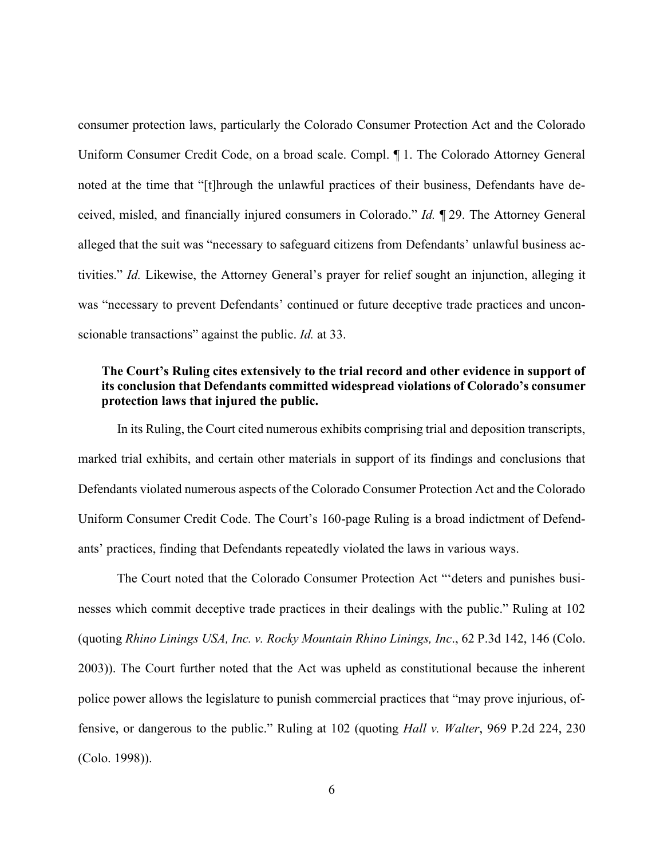consumer protection laws, particularly the Colorado Consumer Protection Act and the Colorado Uniform Consumer Credit Code, on a broad scale. Compl. ¶ 1. The Colorado Attorney General noted at the time that "[t]hrough the unlawful practices of their business, Defendants have deceived, misled, and financially injured consumers in Colorado." *Id.* ¶ 29. The Attorney General alleged that the suit was "necessary to safeguard citizens from Defendants' unlawful business activities." *Id.* Likewise, the Attorney General's prayer for relief sought an injunction, alleging it was "necessary to prevent Defendants' continued or future deceptive trade practices and unconscionable transactions" against the public. *Id.* at 33.

# **The Court's Ruling cites extensively to the trial record and other evidence in support of its conclusion that Defendants committed widespread violations of Colorado's consumer protection laws that injured the public.**

In its Ruling, the Court cited numerous exhibits comprising trial and deposition transcripts, marked trial exhibits, and certain other materials in support of its findings and conclusions that Defendants violated numerous aspects of the Colorado Consumer Protection Act and the Colorado Uniform Consumer Credit Code. The Court's 160-page Ruling is a broad indictment of Defendants' practices, finding that Defendants repeatedly violated the laws in various ways.

The Court noted that the Colorado Consumer Protection Act "'deters and punishes businesses which commit deceptive trade practices in their dealings with the public." Ruling at 102 (quoting *Rhino Linings USA, Inc. v. Rocky Mountain Rhino Linings, Inc*., 62 P.3d 142, 146 (Colo. 2003)). The Court further noted that the Act was upheld as constitutional because the inherent police power allows the legislature to punish commercial practices that "may prove injurious, offensive, or dangerous to the public." Ruling at 102 (quoting *Hall v. Walter*, 969 P.2d 224, 230 (Colo. 1998)).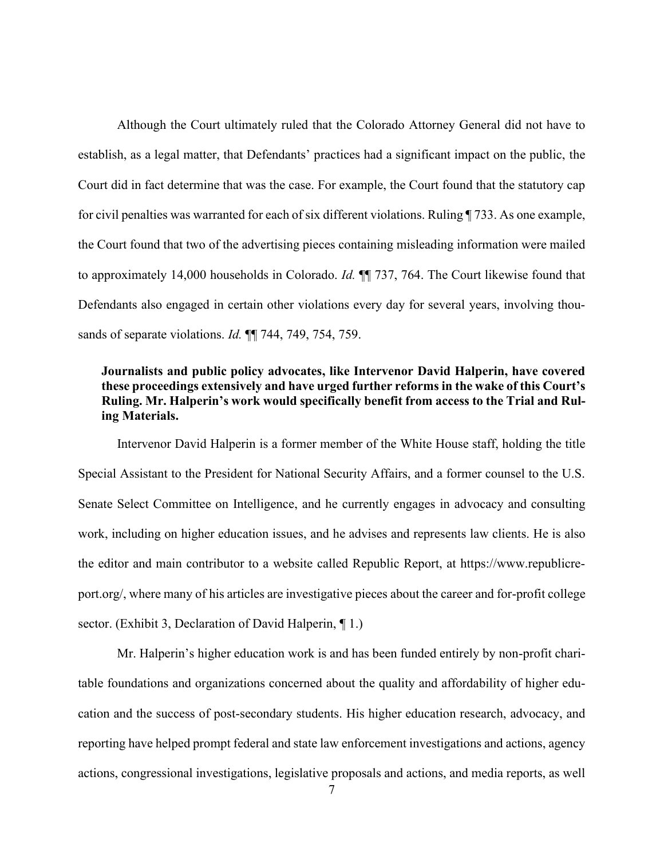Although the Court ultimately ruled that the Colorado Attorney General did not have to establish, as a legal matter, that Defendants' practices had a significant impact on the public, the Court did in fact determine that was the case. For example, the Court found that the statutory cap for civil penalties was warranted for each of six different violations. Ruling ¶ 733. As one example, the Court found that two of the advertising pieces containing misleading information were mailed to approximately 14,000 households in Colorado. *Id.* ¶¶ 737, 764. The Court likewise found that Defendants also engaged in certain other violations every day for several years, involving thousands of separate violations. *Id.* ¶¶ 744, 749, 754, 759.

# **Journalists and public policy advocates, like Intervenor David Halperin, have covered these proceedings extensively and have urged further reforms in the wake of this Court's Ruling. Mr. Halperin's work would specifically benefit from access to the Trial and Ruling Materials.**

Intervenor David Halperin is a former member of the White House staff, holding the title Special Assistant to the President for National Security Affairs, and a former counsel to the U.S. Senate Select Committee on Intelligence, and he currently engages in advocacy and consulting work, including on higher education issues, and he advises and represents law clients. He is also the editor and main contributor to a website called Republic Report, at https://www.republicreport.org/, where many of his articles are investigative pieces about the career and for-profit college sector. (Exhibit 3, Declaration of David Halperin, ¶ 1.)

Mr. Halperin's higher education work is and has been funded entirely by non-profit charitable foundations and organizations concerned about the quality and affordability of higher education and the success of post-secondary students. His higher education research, advocacy, and reporting have helped prompt federal and state law enforcement investigations and actions, agency actions, congressional investigations, legislative proposals and actions, and media reports, as well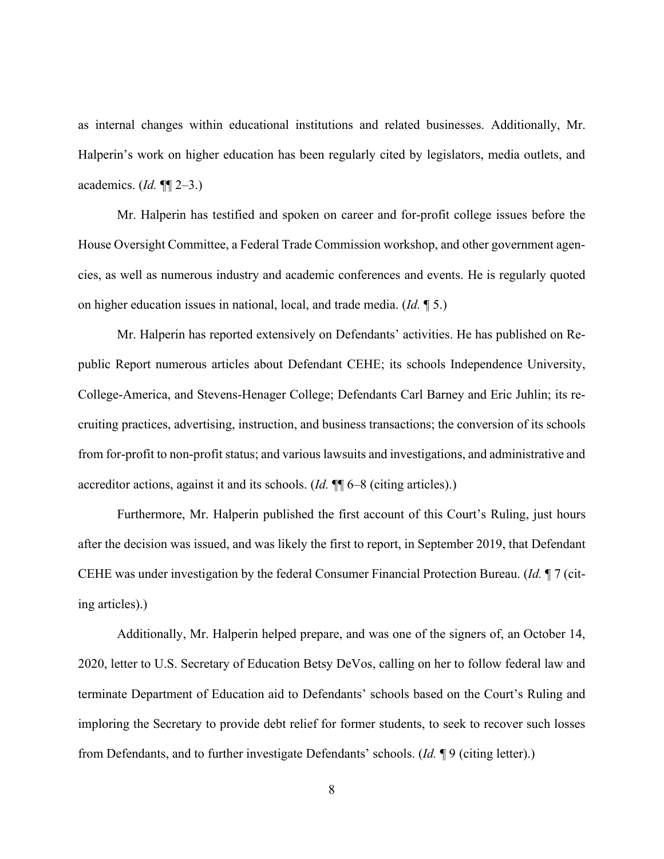as internal changes within educational institutions and related businesses. Additionally, Mr. Halperin's work on higher education has been regularly cited by legislators, media outlets, and academics. (*Id.* ¶¶ 2–3.)

Mr. Halperin has testified and spoken on career and for-profit college issues before the House Oversight Committee, a Federal Trade Commission workshop, and other government agencies, as well as numerous industry and academic conferences and events. He is regularly quoted on higher education issues in national, local, and trade media. (*Id.* ¶ 5.)

Mr. Halperin has reported extensively on Defendants' activities. He has published on Republic Report numerous articles about Defendant CEHE; its schools Independence University, College-America, and Stevens-Henager College; Defendants Carl Barney and Eric Juhlin; its recruiting practices, advertising, instruction, and business transactions; the conversion of its schools from for-profit to non-profit status; and various lawsuits and investigations, and administrative and accreditor actions, against it and its schools. (*Id.* ¶¶ 6–8 (citing articles).)

Furthermore, Mr. Halperin published the first account of this Court's Ruling, just hours after the decision was issued, and was likely the first to report, in September 2019, that Defendant CEHE was under investigation by the federal Consumer Financial Protection Bureau. (*Id.* ¶ 7 (citing articles).)

Additionally, Mr. Halperin helped prepare, and was one of the signers of, an October 14, 2020, letter to U.S. Secretary of Education Betsy DeVos, calling on her to follow federal law and terminate Department of Education aid to Defendants' schools based on the Court's Ruling and imploring the Secretary to provide debt relief for former students, to seek to recover such losses from Defendants, and to further investigate Defendants' schools. (*Id.* ¶ 9 (citing letter).)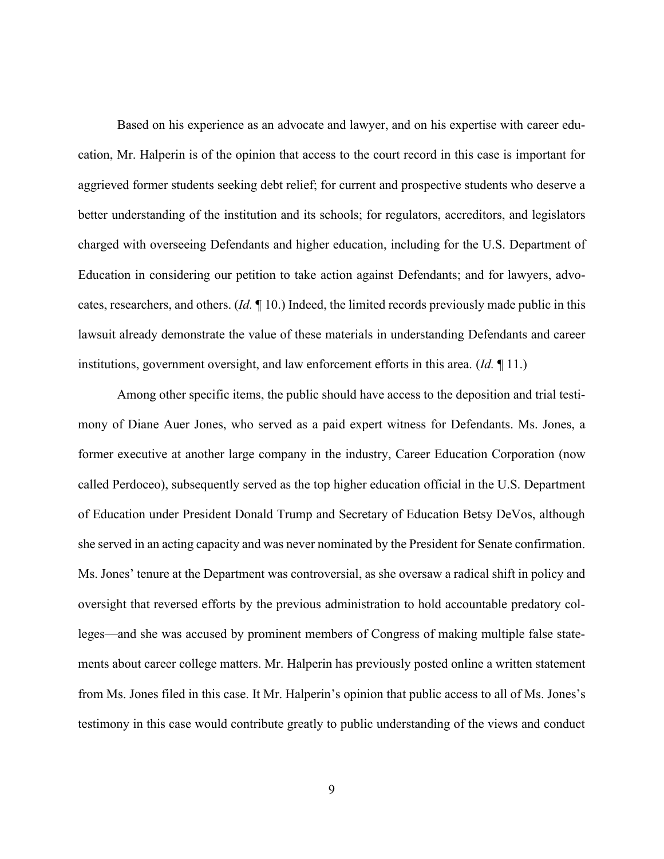Based on his experience as an advocate and lawyer, and on his expertise with career education, Mr. Halperin is of the opinion that access to the court record in this case is important for aggrieved former students seeking debt relief; for current and prospective students who deserve a better understanding of the institution and its schools; for regulators, accreditors, and legislators charged with overseeing Defendants and higher education, including for the U.S. Department of Education in considering our petition to take action against Defendants; and for lawyers, advocates, researchers, and others. (*Id.* ¶ 10.) Indeed, the limited records previously made public in this lawsuit already demonstrate the value of these materials in understanding Defendants and career institutions, government oversight, and law enforcement efforts in this area. (*Id.* ¶ 11.)

Among other specific items, the public should have access to the deposition and trial testimony of Diane Auer Jones, who served as a paid expert witness for Defendants. Ms. Jones, a former executive at another large company in the industry, Career Education Corporation (now called Perdoceo), subsequently served as the top higher education official in the U.S. Department of Education under President Donald Trump and Secretary of Education Betsy DeVos, although she served in an acting capacity and was never nominated by the President for Senate confirmation. Ms. Jones' tenure at the Department was controversial, as she oversaw a radical shift in policy and oversight that reversed efforts by the previous administration to hold accountable predatory colleges—and she was accused by prominent members of Congress of making multiple false statements about career college matters. Mr. Halperin has previously posted online a written statement from Ms. Jones filed in this case. It Mr. Halperin's opinion that public access to all of Ms. Jones's testimony in this case would contribute greatly to public understanding of the views and conduct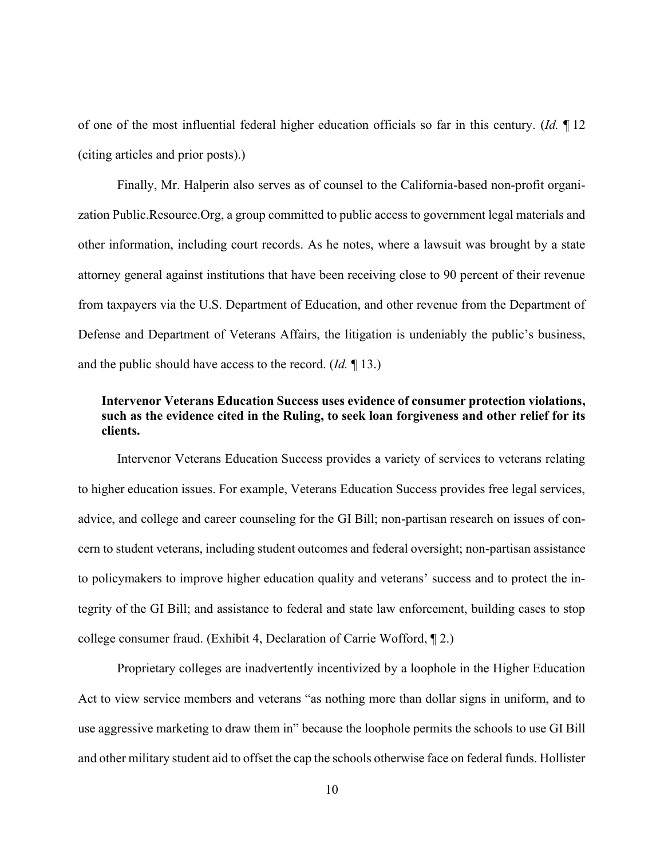of one of the most influential federal higher education officials so far in this century. (*Id.* ¶ 12 (citing articles and prior posts).)

Finally, Mr. Halperin also serves as of counsel to the California-based non-profit organization Public.Resource.Org, a group committed to public access to government legal materials and other information, including court records. As he notes, where a lawsuit was brought by a state attorney general against institutions that have been receiving close to 90 percent of their revenue from taxpayers via the U.S. Department of Education, and other revenue from the Department of Defense and Department of Veterans Affairs, the litigation is undeniably the public's business, and the public should have access to the record. (*Id.* ¶ 13.)

# **Intervenor Veterans Education Success uses evidence of consumer protection violations, such as the evidence cited in the Ruling, to seek loan forgiveness and other relief for its clients.**

Intervenor Veterans Education Success provides a variety of services to veterans relating to higher education issues. For example, Veterans Education Success provides free legal services, advice, and college and career counseling for the GI Bill; non-partisan research on issues of concern to student veterans, including student outcomes and federal oversight; non-partisan assistance to policymakers to improve higher education quality and veterans' success and to protect the integrity of the GI Bill; and assistance to federal and state law enforcement, building cases to stop college consumer fraud. (Exhibit 4, Declaration of Carrie Wofford, ¶ 2.)

Proprietary colleges are inadvertently incentivized by a loophole in the Higher Education Act to view service members and veterans "as nothing more than dollar signs in uniform, and to use aggressive marketing to draw them in" because the loophole permits the schools to use GI Bill and other military student aid to offset the cap the schools otherwise face on federal funds. Hollister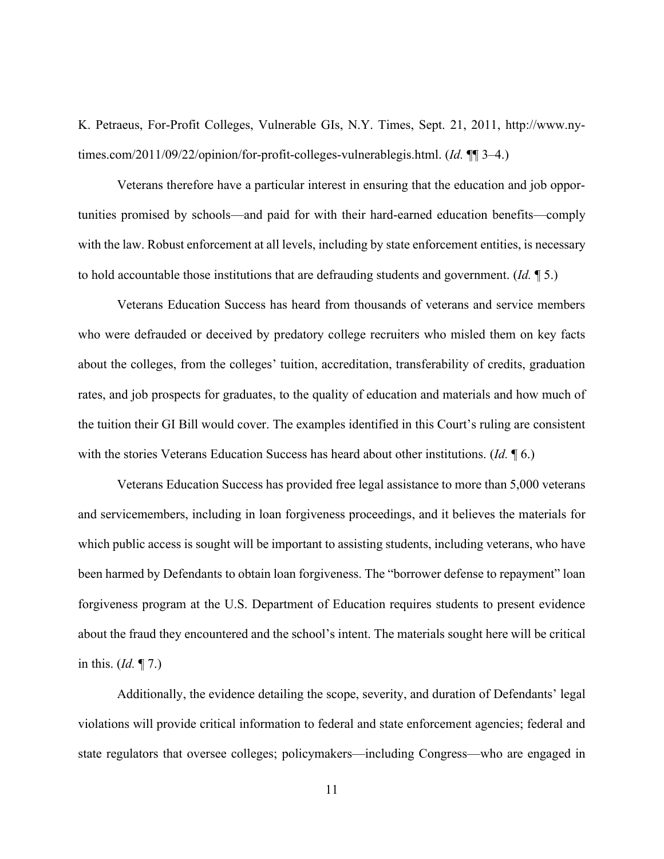K. Petraeus, For-Profit Colleges, Vulnerable GIs, N.Y. Times, Sept. 21, 2011, http://www.nytimes.com/2011/09/22/opinion/for-profit-colleges-vulnerablegis.html. (*Id.* ¶¶ 3–4.)

Veterans therefore have a particular interest in ensuring that the education and job opportunities promised by schools—and paid for with their hard-earned education benefits—comply with the law. Robust enforcement at all levels, including by state enforcement entities, is necessary to hold accountable those institutions that are defrauding students and government. (*Id.* ¶ 5.)

Veterans Education Success has heard from thousands of veterans and service members who were defrauded or deceived by predatory college recruiters who misled them on key facts about the colleges, from the colleges' tuition, accreditation, transferability of credits, graduation rates, and job prospects for graduates, to the quality of education and materials and how much of the tuition their GI Bill would cover. The examples identified in this Court's ruling are consistent with the stories Veterans Education Success has heard about other institutions. (*Id.* ¶ 6.)

Veterans Education Success has provided free legal assistance to more than 5,000 veterans and servicemembers, including in loan forgiveness proceedings, and it believes the materials for which public access is sought will be important to assisting students, including veterans, who have been harmed by Defendants to obtain loan forgiveness. The "borrower defense to repayment" loan forgiveness program at the U.S. Department of Education requires students to present evidence about the fraud they encountered and the school's intent. The materials sought here will be critical in this. (*Id.* ¶ 7.)

Additionally, the evidence detailing the scope, severity, and duration of Defendants' legal violations will provide critical information to federal and state enforcement agencies; federal and state regulators that oversee colleges; policymakers—including Congress—who are engaged in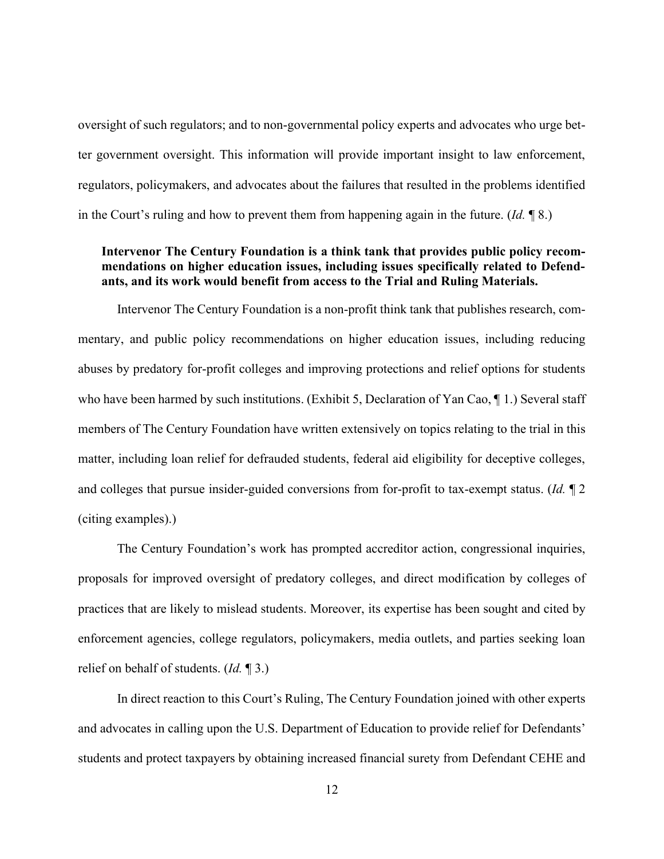oversight of such regulators; and to non-governmental policy experts and advocates who urge better government oversight. This information will provide important insight to law enforcement, regulators, policymakers, and advocates about the failures that resulted in the problems identified in the Court's ruling and how to prevent them from happening again in the future. (*Id.* ¶ 8.)

## **Intervenor The Century Foundation is a think tank that provides public policy recommendations on higher education issues, including issues specifically related to Defendants, and its work would benefit from access to the Trial and Ruling Materials.**

Intervenor The Century Foundation is a non-profit think tank that publishes research, commentary, and public policy recommendations on higher education issues, including reducing abuses by predatory for-profit colleges and improving protections and relief options for students who have been harmed by such institutions. (Exhibit 5, Declaration of Yan Cao,  $\P$  1.) Several staff members of The Century Foundation have written extensively on topics relating to the trial in this matter, including loan relief for defrauded students, federal aid eligibility for deceptive colleges, and colleges that pursue insider-guided conversions from for-profit to tax-exempt status. (*Id.* ¶ 2 (citing examples).)

The Century Foundation's work has prompted accreditor action, congressional inquiries, proposals for improved oversight of predatory colleges, and direct modification by colleges of practices that are likely to mislead students. Moreover, its expertise has been sought and cited by enforcement agencies, college regulators, policymakers, media outlets, and parties seeking loan relief on behalf of students. (*Id.* ¶ 3.)

In direct reaction to this Court's Ruling, The Century Foundation joined with other experts and advocates in calling upon the U.S. Department of Education to provide relief for Defendants' students and protect taxpayers by obtaining increased financial surety from Defendant CEHE and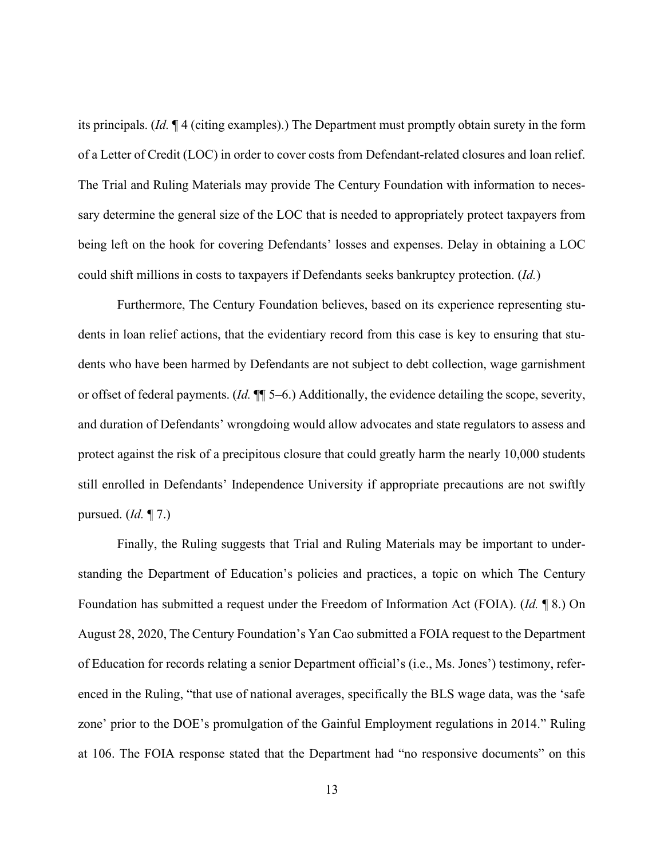its principals. (*Id.* ¶ 4 (citing examples).) The Department must promptly obtain surety in the form of a Letter of Credit (LOC) in order to cover costs from Defendant-related closures and loan relief. The Trial and Ruling Materials may provide The Century Foundation with information to necessary determine the general size of the LOC that is needed to appropriately protect taxpayers from being left on the hook for covering Defendants' losses and expenses. Delay in obtaining a LOC could shift millions in costs to taxpayers if Defendants seeks bankruptcy protection. (*Id.*)

Furthermore, The Century Foundation believes, based on its experience representing students in loan relief actions, that the evidentiary record from this case is key to ensuring that students who have been harmed by Defendants are not subject to debt collection, wage garnishment or offset of federal payments. (*Id.* ¶¶ 5–6.) Additionally, the evidence detailing the scope, severity, and duration of Defendants' wrongdoing would allow advocates and state regulators to assess and protect against the risk of a precipitous closure that could greatly harm the nearly 10,000 students still enrolled in Defendants' Independence University if appropriate precautions are not swiftly pursued. (*Id.* ¶ 7.)

Finally, the Ruling suggests that Trial and Ruling Materials may be important to understanding the Department of Education's policies and practices, a topic on which The Century Foundation has submitted a request under the Freedom of Information Act (FOIA). (*Id.* ¶ 8.) On August 28, 2020, The Century Foundation's Yan Cao submitted a FOIA request to the Department of Education for records relating a senior Department official's (i.e., Ms. Jones') testimony, referenced in the Ruling, "that use of national averages, specifically the BLS wage data, was the 'safe zone' prior to the DOE's promulgation of the Gainful Employment regulations in 2014." Ruling at 106. The FOIA response stated that the Department had "no responsive documents" on this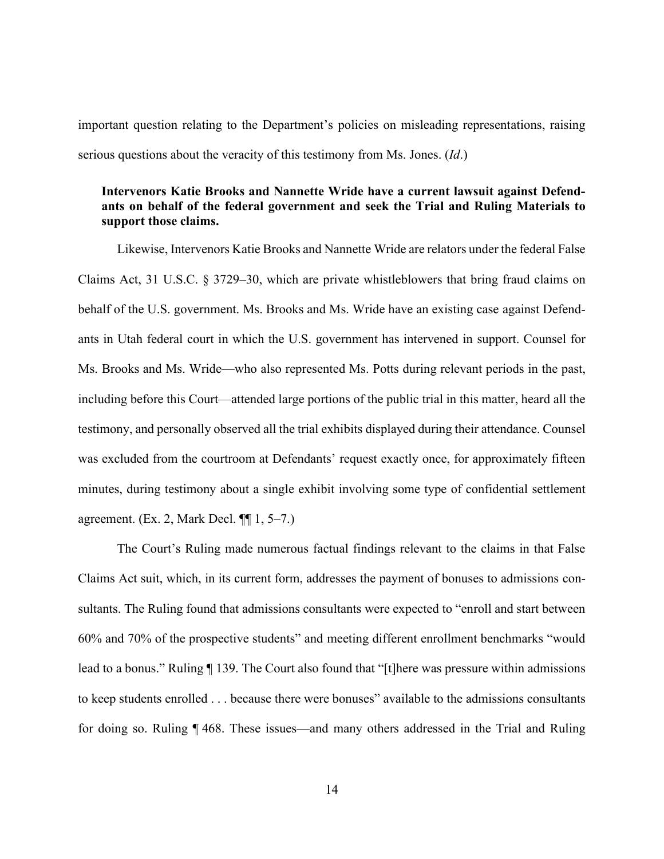important question relating to the Department's policies on misleading representations, raising serious questions about the veracity of this testimony from Ms. Jones. (*Id*.)

## **Intervenors Katie Brooks and Nannette Wride have a current lawsuit against Defendants on behalf of the federal government and seek the Trial and Ruling Materials to support those claims.**

Likewise, Intervenors Katie Brooks and Nannette Wride are relators under the federal False Claims Act, 31 U.S.C. § 3729–30, which are private whistleblowers that bring fraud claims on behalf of the U.S. government. Ms. Brooks and Ms. Wride have an existing case against Defendants in Utah federal court in which the U.S. government has intervened in support. Counsel for Ms. Brooks and Ms. Wride—who also represented Ms. Potts during relevant periods in the past, including before this Court—attended large portions of the public trial in this matter, heard all the testimony, and personally observed all the trial exhibits displayed during their attendance. Counsel was excluded from the courtroom at Defendants' request exactly once, for approximately fifteen minutes, during testimony about a single exhibit involving some type of confidential settlement agreement. (Ex. 2, Mark Decl. ¶¶ 1, 5–7.)

The Court's Ruling made numerous factual findings relevant to the claims in that False Claims Act suit, which, in its current form, addresses the payment of bonuses to admissions consultants. The Ruling found that admissions consultants were expected to "enroll and start between 60% and 70% of the prospective students" and meeting different enrollment benchmarks "would lead to a bonus." Ruling ¶ 139. The Court also found that "[t]here was pressure within admissions to keep students enrolled . . . because there were bonuses" available to the admissions consultants for doing so. Ruling ¶ 468. These issues—and many others addressed in the Trial and Ruling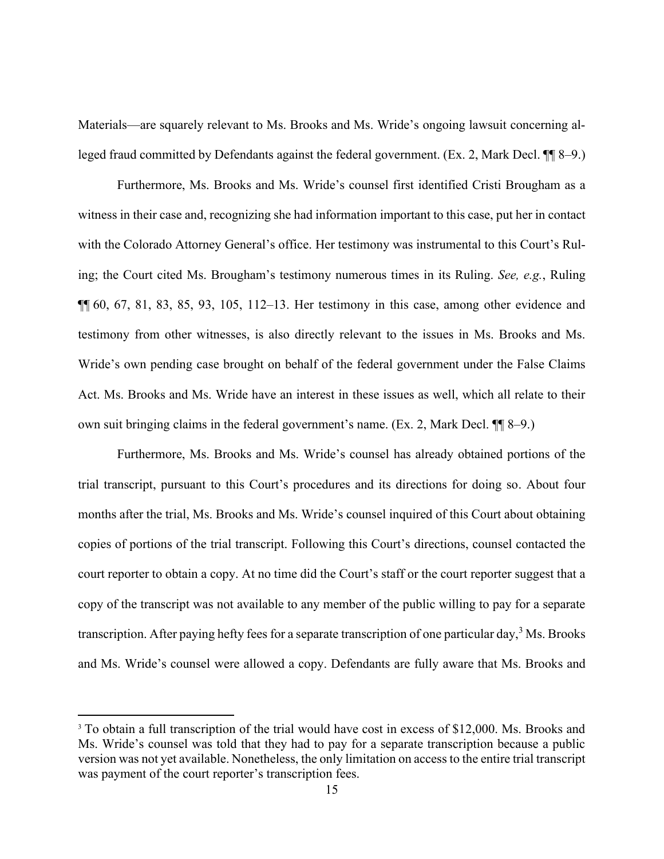Materials—are squarely relevant to Ms. Brooks and Ms. Wride's ongoing lawsuit concerning alleged fraud committed by Defendants against the federal government. (Ex. 2, Mark Decl. ¶¶ 8–9.)

Furthermore, Ms. Brooks and Ms. Wride's counsel first identified Cristi Brougham as a witness in their case and, recognizing she had information important to this case, put her in contact with the Colorado Attorney General's office. Her testimony was instrumental to this Court's Ruling; the Court cited Ms. Brougham's testimony numerous times in its Ruling. *See, e.g.*, Ruling  $\P\P$  60, 67, 81, 83, 85, 93, 105, 112–13. Her testimony in this case, among other evidence and testimony from other witnesses, is also directly relevant to the issues in Ms. Brooks and Ms. Wride's own pending case brought on behalf of the federal government under the False Claims Act. Ms. Brooks and Ms. Wride have an interest in these issues as well, which all relate to their own suit bringing claims in the federal government's name. (Ex. 2, Mark Decl. ¶¶ 8–9.)

Furthermore, Ms. Brooks and Ms. Wride's counsel has already obtained portions of the trial transcript, pursuant to this Court's procedures and its directions for doing so. About four months after the trial, Ms. Brooks and Ms. Wride's counsel inquired of this Court about obtaining copies of portions of the trial transcript. Following this Court's directions, counsel contacted the court reporter to obtain a copy. At no time did the Court's staff or the court reporter suggest that a copy of the transcript was not available to any member of the public willing to pay for a separate transcription. After paying hefty fees for a separate transcription of one particular day,<sup>3</sup> Ms. Brooks and Ms. Wride's counsel were allowed a copy. Defendants are fully aware that Ms. Brooks and

<sup>&</sup>lt;sup>3</sup> To obtain a full transcription of the trial would have cost in excess of \$12,000. Ms. Brooks and Ms. Wride's counsel was told that they had to pay for a separate transcription because a public version was not yet available. Nonetheless, the only limitation on access to the entire trial transcript was payment of the court reporter's transcription fees.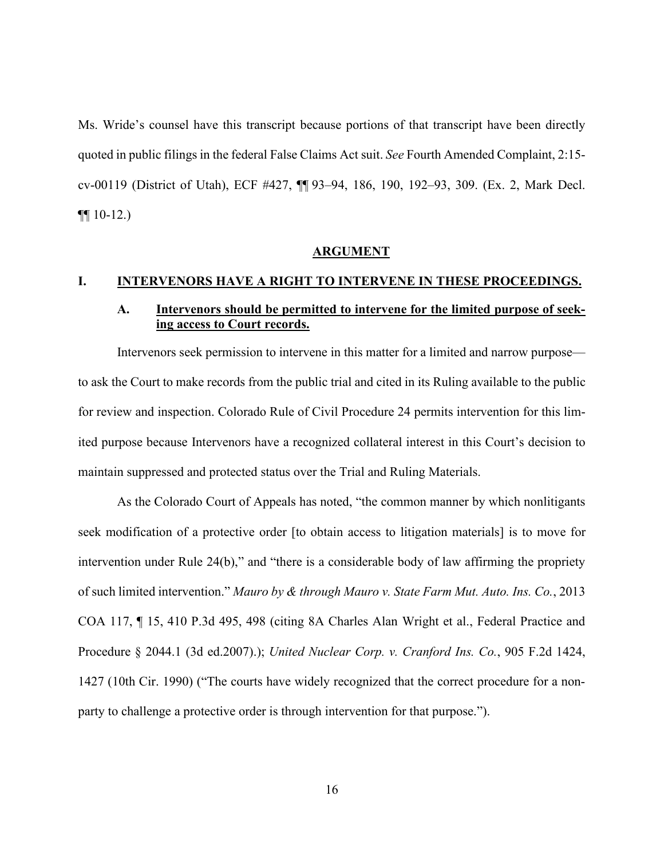Ms. Wride's counsel have this transcript because portions of that transcript have been directly quoted in public filings in the federal False Claims Act suit. *See* Fourth Amended Complaint, 2:15 cv-00119 (District of Utah), ECF #427, ¶¶ 93–94, 186, 190, 192–93, 309. (Ex. 2, Mark Decl.  $\P\P$  10-12.)

#### **ARGUMENT**

### **I. INTERVENORS HAVE A RIGHT TO INTERVENE IN THESE PROCEEDINGS.**

## **A. Intervenors should be permitted to intervene for the limited purpose of seeking access to Court records.**

Intervenors seek permission to intervene in this matter for a limited and narrow purpose to ask the Court to make records from the public trial and cited in its Ruling available to the public for review and inspection. Colorado Rule of Civil Procedure 24 permits intervention for this limited purpose because Intervenors have a recognized collateral interest in this Court's decision to maintain suppressed and protected status over the Trial and Ruling Materials.

As the Colorado Court of Appeals has noted, "the common manner by which nonlitigants seek modification of a protective order [to obtain access to litigation materials] is to move for intervention under Rule 24(b)," and "there is a considerable body of law affirming the propriety of such limited intervention." *Mauro by & through Mauro v. State Farm Mut. Auto. Ins. Co.*, 2013 COA 117, ¶ 15, 410 P.3d 495, 498 (citing 8A Charles Alan Wright et al., Federal Practice and Procedure § 2044.1 (3d ed.2007).); *United Nuclear Corp. v. Cranford Ins. Co.*, 905 F.2d 1424, 1427 (10th Cir. 1990) ("The courts have widely recognized that the correct procedure for a nonparty to challenge a protective order is through intervention for that purpose.").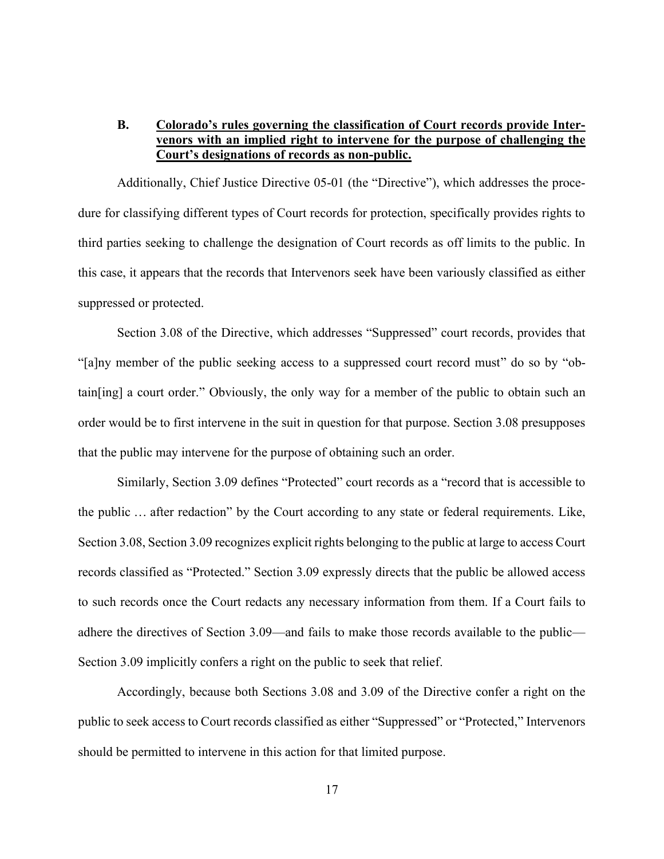## **B. Colorado's rules governing the classification of Court records provide Intervenors with an implied right to intervene for the purpose of challenging the Court's designations of records as non-public.**

Additionally, Chief Justice Directive 05-01 (the "Directive"), which addresses the procedure for classifying different types of Court records for protection, specifically provides rights to third parties seeking to challenge the designation of Court records as off limits to the public. In this case, it appears that the records that Intervenors seek have been variously classified as either suppressed or protected.

Section 3.08 of the Directive, which addresses "Suppressed" court records, provides that "[a]ny member of the public seeking access to a suppressed court record must" do so by "obtain[ing] a court order." Obviously, the only way for a member of the public to obtain such an order would be to first intervene in the suit in question for that purpose. Section 3.08 presupposes that the public may intervene for the purpose of obtaining such an order.

Similarly, Section 3.09 defines "Protected" court records as a "record that is accessible to the public … after redaction" by the Court according to any state or federal requirements. Like, Section 3.08, Section 3.09 recognizes explicit rights belonging to the public at large to access Court records classified as "Protected." Section 3.09 expressly directs that the public be allowed access to such records once the Court redacts any necessary information from them. If a Court fails to adhere the directives of Section 3.09—and fails to make those records available to the public— Section 3.09 implicitly confers a right on the public to seek that relief.

Accordingly, because both Sections 3.08 and 3.09 of the Directive confer a right on the public to seek access to Court records classified as either "Suppressed" or "Protected," Intervenors should be permitted to intervene in this action for that limited purpose.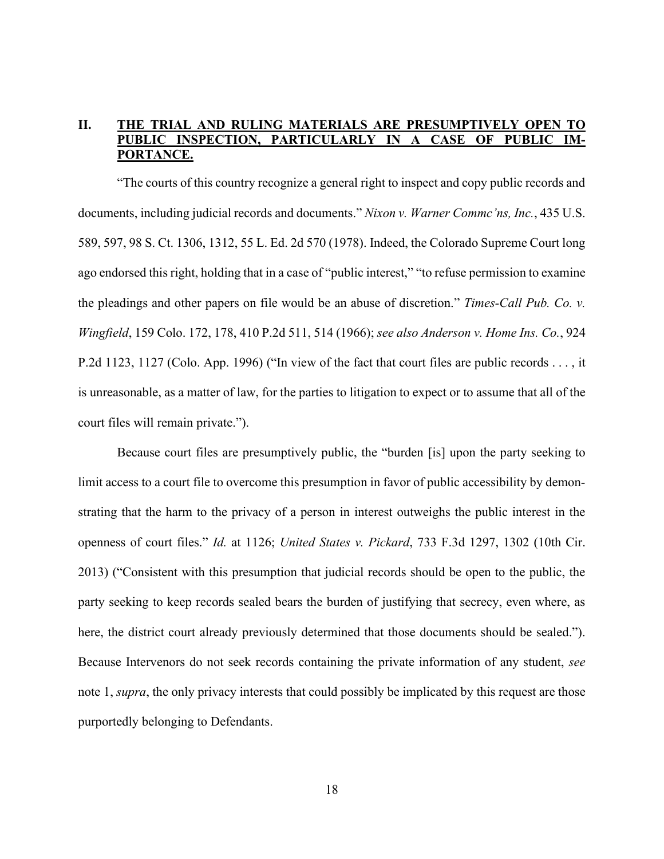# **II. THE TRIAL AND RULING MATERIALS ARE PRESUMPTIVELY OPEN TO PUBLIC INSPECTION, PARTICULARLY IN A CASE OF PUBLIC IM-PORTANCE.**

"The courts of this country recognize a general right to inspect and copy public records and documents, including judicial records and documents." *Nixon v. Warner Commc'ns, Inc.*, 435 U.S. 589, 597, 98 S. Ct. 1306, 1312, 55 L. Ed. 2d 570 (1978). Indeed, the Colorado Supreme Court long ago endorsed this right, holding that in a case of "public interest," "to refuse permission to examine the pleadings and other papers on file would be an abuse of discretion." *Times-Call Pub. Co. v. Wingfield*, 159 Colo. 172, 178, 410 P.2d 511, 514 (1966); *see also Anderson v. Home Ins. Co.*, 924 P.2d 1123, 1127 (Colo. App. 1996) ("In view of the fact that court files are public records . . . , it is unreasonable, as a matter of law, for the parties to litigation to expect or to assume that all of the court files will remain private.").

Because court files are presumptively public, the "burden [is] upon the party seeking to limit access to a court file to overcome this presumption in favor of public accessibility by demonstrating that the harm to the privacy of a person in interest outweighs the public interest in the openness of court files." *Id.* at 1126; *United States v. Pickard*, 733 F.3d 1297, 1302 (10th Cir. 2013) ("Consistent with this presumption that judicial records should be open to the public, the party seeking to keep records sealed bears the burden of justifying that secrecy, even where, as here, the district court already previously determined that those documents should be sealed."). Because Intervenors do not seek records containing the private information of any student, *see* note 1, *supra*, the only privacy interests that could possibly be implicated by this request are those purportedly belonging to Defendants.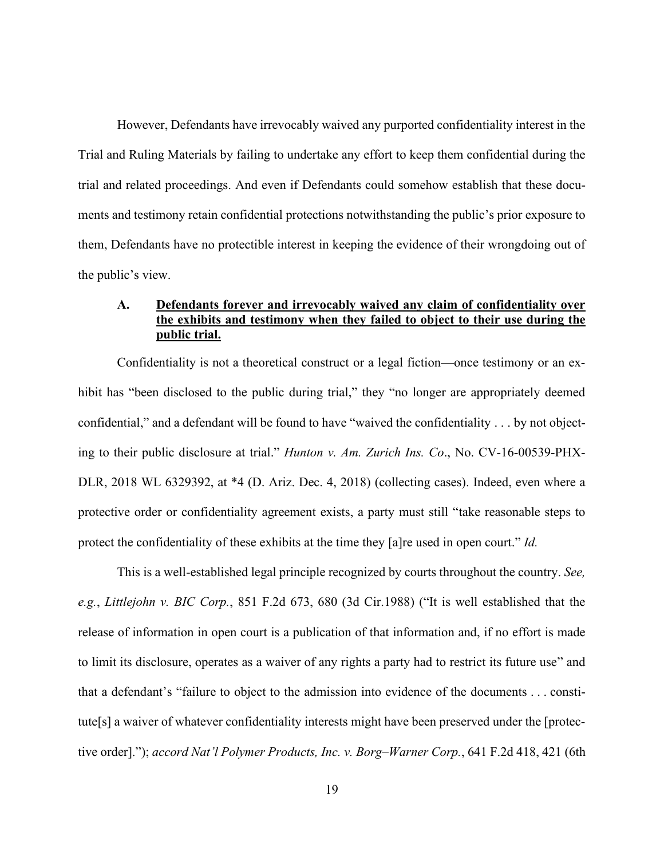However, Defendants have irrevocably waived any purported confidentiality interest in the Trial and Ruling Materials by failing to undertake any effort to keep them confidential during the trial and related proceedings. And even if Defendants could somehow establish that these documents and testimony retain confidential protections notwithstanding the public's prior exposure to them, Defendants have no protectible interest in keeping the evidence of their wrongdoing out of the public's view.

## **A. Defendants forever and irrevocably waived any claim of confidentiality over the exhibits and testimony when they failed to object to their use during the public trial.**

Confidentiality is not a theoretical construct or a legal fiction—once testimony or an exhibit has "been disclosed to the public during trial," they "no longer are appropriately deemed confidential," and a defendant will be found to have "waived the confidentiality . . . by not objecting to their public disclosure at trial." *Hunton v. Am. Zurich Ins. Co*., No. CV-16-00539-PHX-DLR, 2018 WL 6329392, at \*4 (D. Ariz. Dec. 4, 2018) (collecting cases). Indeed, even where a protective order or confidentiality agreement exists, a party must still "take reasonable steps to protect the confidentiality of these exhibits at the time they [a]re used in open court." *Id.*

This is a well-established legal principle recognized by courts throughout the country. *See, e.g.*, *Littlejohn v. BIC Corp.*, 851 F.2d 673, 680 (3d Cir.1988) ("It is well established that the release of information in open court is a publication of that information and, if no effort is made to limit its disclosure, operates as a waiver of any rights a party had to restrict its future use" and that a defendant's "failure to object to the admission into evidence of the documents . . . constitute[s] a waiver of whatever confidentiality interests might have been preserved under the [protective order]."); *accord Nat'l Polymer Products, Inc. v. Borg–Warner Corp.*, 641 F.2d 418, 421 (6th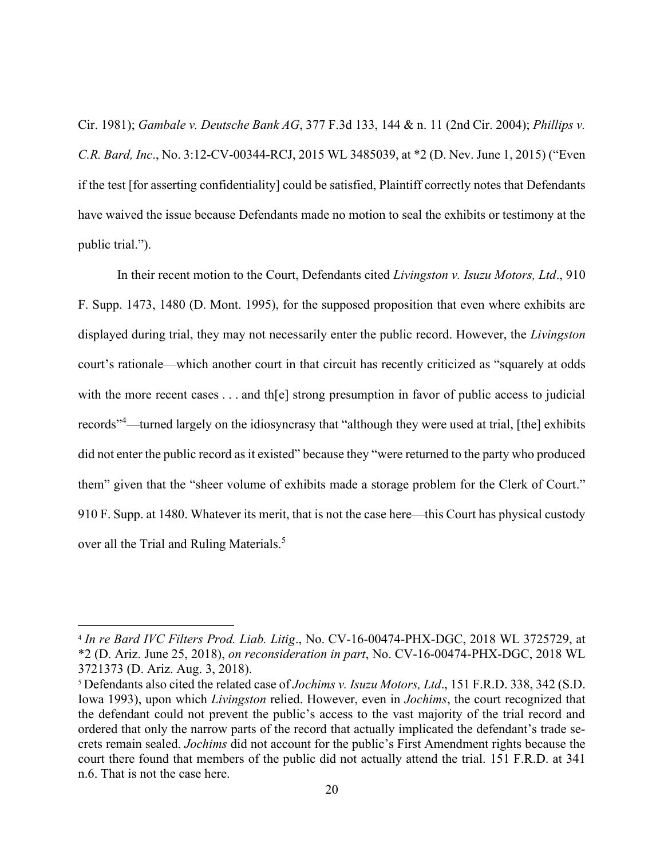Cir. 1981); *Gambale v. Deutsche Bank AG*, 377 F.3d 133, 144 & n. 11 (2nd Cir. 2004); *Phillips v. C.R. Bard, Inc*., No. 3:12-CV-00344-RCJ, 2015 WL 3485039, at \*2 (D. Nev. June 1, 2015) ("Even if the test [for asserting confidentiality] could be satisfied, Plaintiff correctly notes that Defendants have waived the issue because Defendants made no motion to seal the exhibits or testimony at the public trial.").

In their recent motion to the Court, Defendants cited *Livingston v. Isuzu Motors, Ltd*., 910 F. Supp. 1473, 1480 (D. Mont. 1995), for the supposed proposition that even where exhibits are displayed during trial, they may not necessarily enter the public record. However, the *Livingston*  court's rationale—which another court in that circuit has recently criticized as "squarely at odds with the more recent cases . . . and the strong presumption in favor of public access to judicial records"<sup>4</sup>—turned largely on the idiosyncrasy that "although they were used at trial, [the] exhibits did not enter the public record as it existed" because they "were returned to the party who produced them" given that the "sheer volume of exhibits made a storage problem for the Clerk of Court." 910 F. Supp. at 1480. Whatever its merit, that is not the case here—this Court has physical custody over all the Trial and Ruling Materials.<sup>5</sup>

<sup>4</sup> *In re Bard IVC Filters Prod. Liab. Litig*., No. CV-16-00474-PHX-DGC, 2018 WL 3725729, at \*2 (D. Ariz. June 25, 2018), *on reconsideration in part*, No. CV-16-00474-PHX-DGC, 2018 WL 3721373 (D. Ariz. Aug. 3, 2018).

<sup>5</sup> Defendants also cited the related case of *Jochims v. Isuzu Motors, Ltd*., 151 F.R.D. 338, 342 (S.D. Iowa 1993), upon which *Livingston* relied. However, even in *Jochims*, the court recognized that the defendant could not prevent the public's access to the vast majority of the trial record and ordered that only the narrow parts of the record that actually implicated the defendant's trade secrets remain sealed. *Jochims* did not account for the public's First Amendment rights because the court there found that members of the public did not actually attend the trial. 151 F.R.D. at 341 n.6. That is not the case here.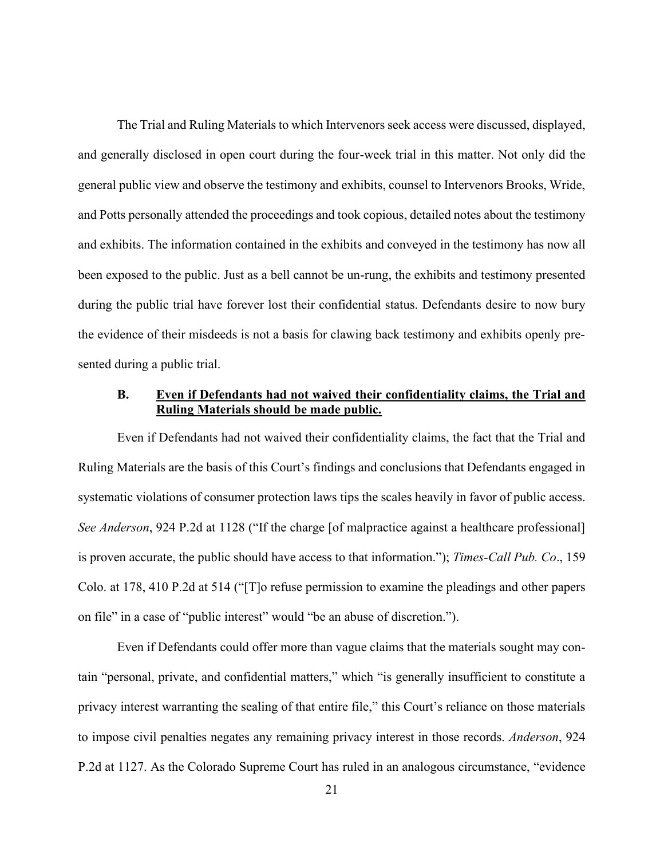The Trial and Ruling Materials to which Intervenors seek access were discussed, displayed, and generally disclosed in open court during the four-week trial in this matter. Not only did the general public view and observe the testimony and exhibits, counsel to Intervenors Brooks, Wride, and Potts personally attended the proceedings and took copious, detailed notes about the testimony and exhibits. The information contained in the exhibits and conveyed in the testimony has now all been exposed to the public. Just as a bell cannot be un-rung, the exhibits and testimony presented during the public trial have forever lost their confidential status. Defendants desire to now bury the evidence of their misdeeds is not a basis for clawing back testimony and exhibits openly presented during a public trial.

# **B. Even if Defendants had not waived their confidentiality claims, the Trial and Ruling Materials should be made public.**

Even if Defendants had not waived their confidentiality claims, the fact that the Trial and Ruling Materials are the basis of this Court's findings and conclusions that Defendants engaged in systematic violations of consumer protection laws tips the scales heavily in favor of public access. *See Anderson*, 924 P.2d at 1128 ("If the charge [of malpractice against a healthcare professional] is proven accurate, the public should have access to that information."); *Times-Call Pub. Co*., 159 Colo. at 178, 410 P.2d at 514 ("[T]o refuse permission to examine the pleadings and other papers on file" in a case of "public interest" would "be an abuse of discretion.").

Even if Defendants could offer more than vague claims that the materials sought may contain "personal, private, and confidential matters," which "is generally insufficient to constitute a privacy interest warranting the sealing of that entire file," this Court's reliance on those materials to impose civil penalties negates any remaining privacy interest in those records. *Anderson*, 924 P.2d at 1127. As the Colorado Supreme Court has ruled in an analogous circumstance, "evidence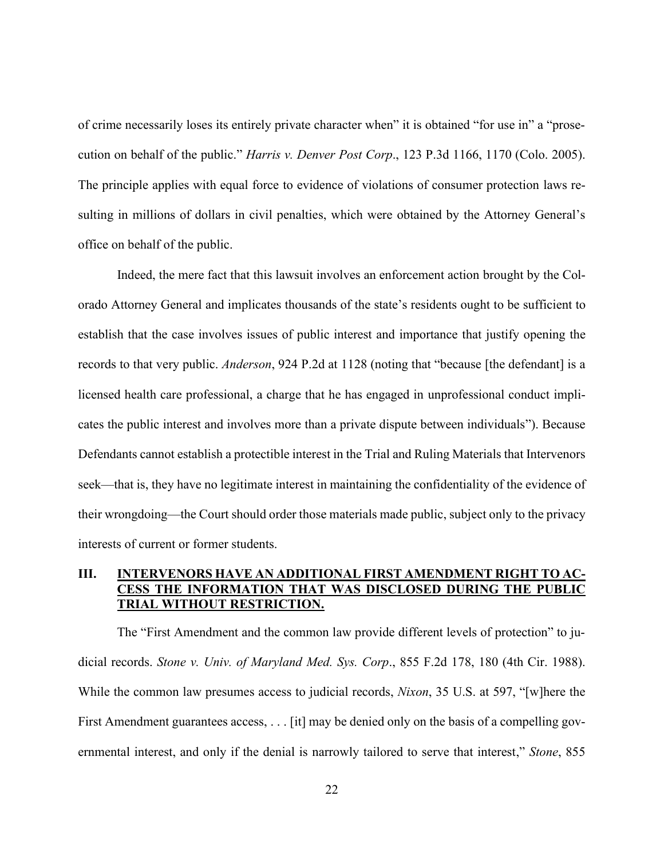of crime necessarily loses its entirely private character when" it is obtained "for use in" a "prosecution on behalf of the public." *Harris v. Denver Post Corp*., 123 P.3d 1166, 1170 (Colo. 2005). The principle applies with equal force to evidence of violations of consumer protection laws resulting in millions of dollars in civil penalties, which were obtained by the Attorney General's office on behalf of the public.

Indeed, the mere fact that this lawsuit involves an enforcement action brought by the Colorado Attorney General and implicates thousands of the state's residents ought to be sufficient to establish that the case involves issues of public interest and importance that justify opening the records to that very public. *Anderson*, 924 P.2d at 1128 (noting that "because [the defendant] is a licensed health care professional, a charge that he has engaged in unprofessional conduct implicates the public interest and involves more than a private dispute between individuals"). Because Defendants cannot establish a protectible interest in the Trial and Ruling Materials that Intervenors seek—that is, they have no legitimate interest in maintaining the confidentiality of the evidence of their wrongdoing—the Court should order those materials made public, subject only to the privacy interests of current or former students.

# **III. INTERVENORS HAVE AN ADDITIONAL FIRST AMENDMENT RIGHT TO AC-CESS THE INFORMATION THAT WAS DISCLOSED DURING THE PUBLIC TRIAL WITHOUT RESTRICTION.**

The "First Amendment and the common law provide different levels of protection" to judicial records. *Stone v. Univ. of Maryland Med. Sys. Corp*., 855 F.2d 178, 180 (4th Cir. 1988). While the common law presumes access to judicial records, *Nixon*, 35 U.S. at 597, "[w]here the First Amendment guarantees access, . . . [it] may be denied only on the basis of a compelling governmental interest, and only if the denial is narrowly tailored to serve that interest," *Stone*, 855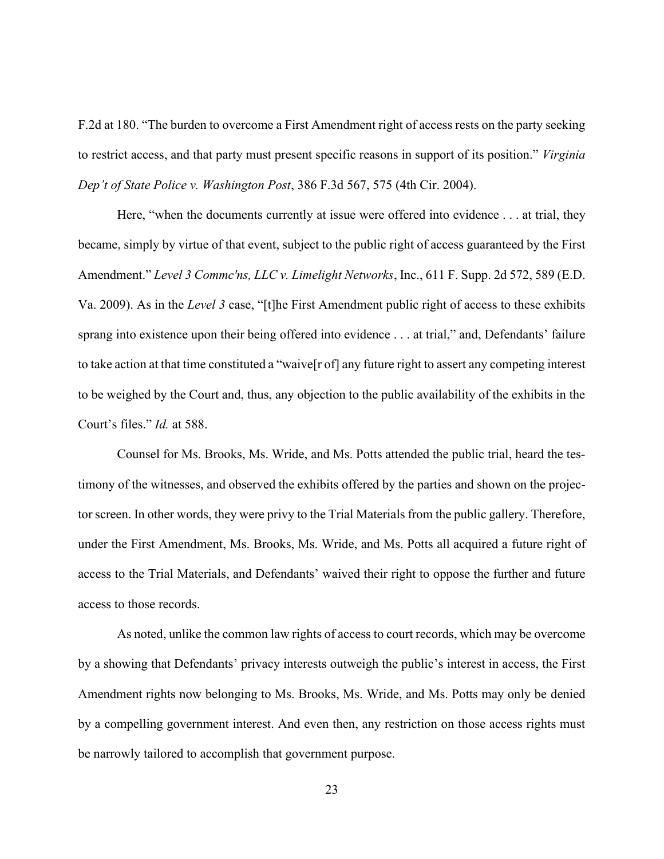F.2d at 180. "The burden to overcome a First Amendment right of access rests on the party seeking to restrict access, and that party must present specific reasons in support of its position." *Virginia Dep't of State Police v. Washington Post*, 386 F.3d 567, 575 (4th Cir. 2004).

Here, "when the documents currently at issue were offered into evidence . . . at trial, they became, simply by virtue of that event, subject to the public right of access guaranteed by the First Amendment." *Level 3 Commc'ns, LLC v. Limelight Networks*, Inc., 611 F. Supp. 2d 572, 589 (E.D. Va. 2009). As in the *Level 3* case, "[t]he First Amendment public right of access to these exhibits sprang into existence upon their being offered into evidence . . . at trial," and, Defendants' failure to take action at that time constituted a "waive[r of] any future right to assert any competing interest to be weighed by the Court and, thus, any objection to the public availability of the exhibits in the Court's files." *Id.* at 588.

Counsel for Ms. Brooks, Ms. Wride, and Ms. Potts attended the public trial, heard the testimony of the witnesses, and observed the exhibits offered by the parties and shown on the projector screen. In other words, they were privy to the Trial Materials from the public gallery. Therefore, under the First Amendment, Ms. Brooks, Ms. Wride, and Ms. Potts all acquired a future right of access to the Trial Materials, and Defendants' waived their right to oppose the further and future access to those records.

As noted, unlike the common law rights of access to court records, which may be overcome by a showing that Defendants' privacy interests outweigh the public's interest in access, the First Amendment rights now belonging to Ms. Brooks, Ms. Wride, and Ms. Potts may only be denied by a compelling government interest. And even then, any restriction on those access rights must be narrowly tailored to accomplish that government purpose.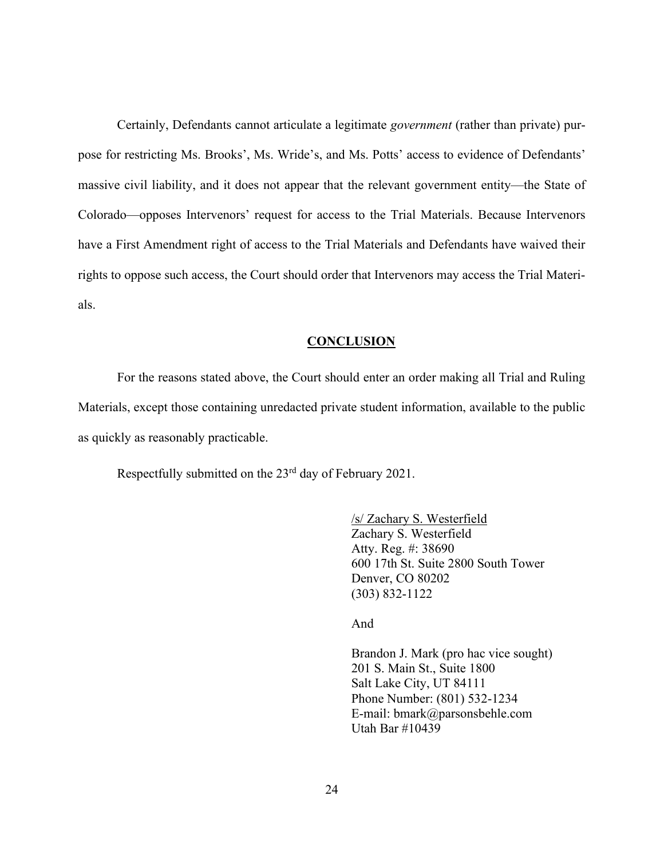Certainly, Defendants cannot articulate a legitimate *government* (rather than private) purpose for restricting Ms. Brooks', Ms. Wride's, and Ms. Potts' access to evidence of Defendants' massive civil liability, and it does not appear that the relevant government entity—the State of Colorado—opposes Intervenors' request for access to the Trial Materials. Because Intervenors have a First Amendment right of access to the Trial Materials and Defendants have waived their rights to oppose such access, the Court should order that Intervenors may access the Trial Materials.

#### **CONCLUSION**

For the reasons stated above, the Court should enter an order making all Trial and Ruling Materials, except those containing unredacted private student information, available to the public as quickly as reasonably practicable.

Respectfully submitted on the 23<sup>rd</sup> day of February 2021.

/s/ Zachary S. Westerfield Zachary S. Westerfield Atty. Reg. #: 38690 600 17th St. Suite 2800 South Tower Denver, CO 80202 (303) 832-1122

And

Brandon J. Mark (pro hac vice sought) 201 S. Main St., Suite 1800 Salt Lake City, UT 84111 Phone Number: (801) 532-1234 E-mail: bmark@parsonsbehle.com Utah Bar #10439